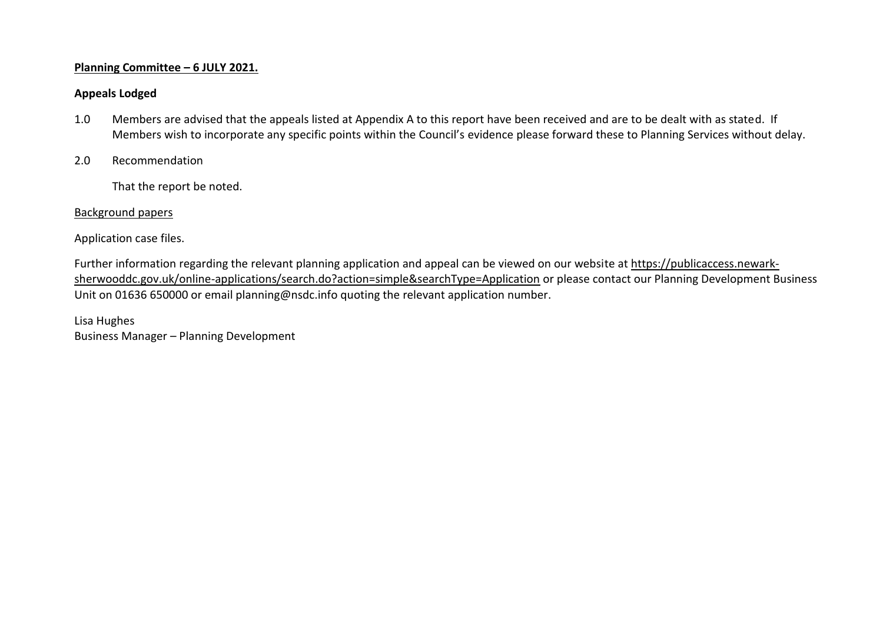## **Planning Committee – 6 JULY 2021.**

## **Appeals Lodged**

- 1.0 Members are advised that the appeals listed at Appendix A to this report have been received and are to be dealt with as stated. If Members wish to incorporate any specific points within the Council's evidence please forward these to Planning Services without delay.
- 2.0 Recommendation

That the report be noted.

## Background papers

Application case files.

Further information regarding the relevant planning application and appeal can be viewed on our website at [https://publicaccess.newark](https://publicaccess.newark-sherwooddc.gov.uk/online-applications/search.do?action=simple&searchType=Application)[sherwooddc.gov.uk/online-applications/search.do?action=simple&searchType=Application](https://publicaccess.newark-sherwooddc.gov.uk/online-applications/search.do?action=simple&searchType=Application) or please contact our Planning Development Business Unit on 01636 650000 or email planning@nsdc.info quoting the relevant application number.

Lisa Hughes Business Manager – Planning Development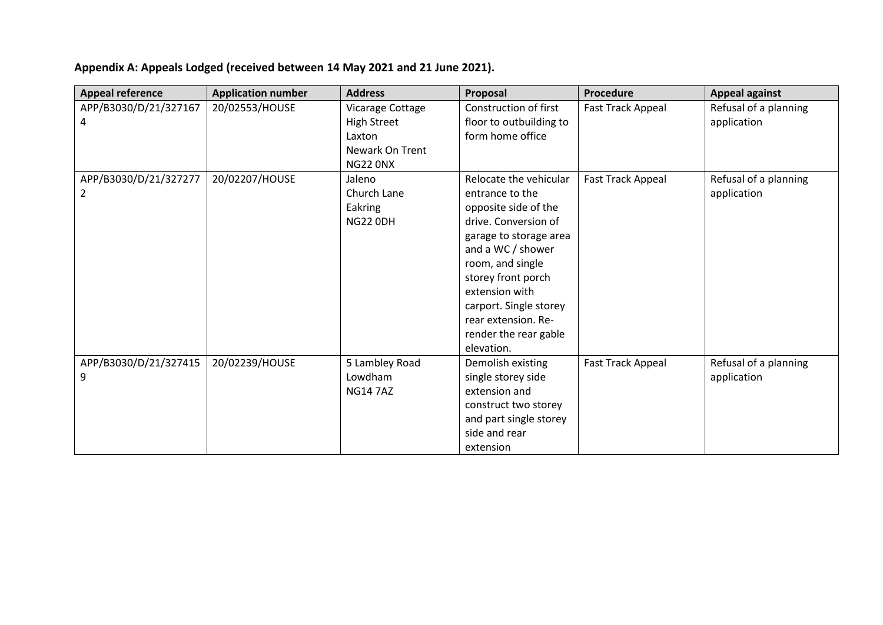## **Appendix A: Appeals Lodged (received between 14 May 2021 and 21 June 2021).**

| <b>Appeal reference</b>    | <b>Application number</b> | <b>Address</b>                                                                         | Proposal                                                                                                                                                                                                                                                                                     | Procedure         | <b>Appeal against</b>                |
|----------------------------|---------------------------|----------------------------------------------------------------------------------------|----------------------------------------------------------------------------------------------------------------------------------------------------------------------------------------------------------------------------------------------------------------------------------------------|-------------------|--------------------------------------|
| APP/B3030/D/21/327167<br>4 | 20/02553/HOUSE            | Vicarage Cottage<br><b>High Street</b><br>Laxton<br>Newark On Trent<br><b>NG22 ONX</b> | Construction of first<br>floor to outbuilding to<br>form home office                                                                                                                                                                                                                         | Fast Track Appeal | Refusal of a planning<br>application |
| APP/B3030/D/21/327277<br>2 | 20/02207/HOUSE            | Jaleno<br>Church Lane<br>Eakring<br><b>NG22 0DH</b>                                    | Relocate the vehicular<br>entrance to the<br>opposite side of the<br>drive. Conversion of<br>garage to storage area<br>and a WC / shower<br>room, and single<br>storey front porch<br>extension with<br>carport. Single storey<br>rear extension. Re-<br>render the rear gable<br>elevation. | Fast Track Appeal | Refusal of a planning<br>application |
| APP/B3030/D/21/327415<br>9 | 20/02239/HOUSE            | 5 Lambley Road<br>Lowdham<br><b>NG14 7AZ</b>                                           | Demolish existing<br>single storey side<br>extension and<br>construct two storey<br>and part single storey<br>side and rear<br>extension                                                                                                                                                     | Fast Track Appeal | Refusal of a planning<br>application |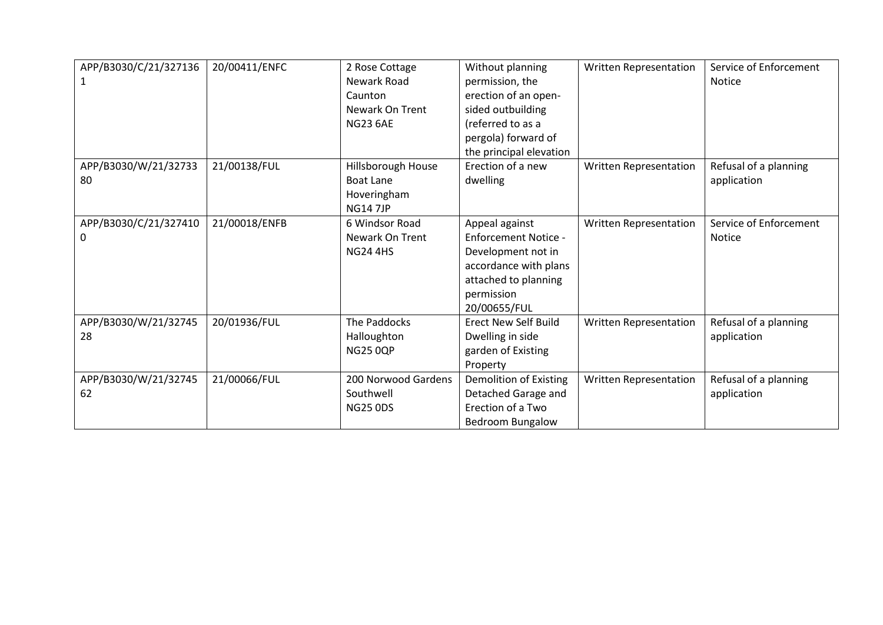| APP/B3030/C/21/327136      | 20/00411/ENFC | 2 Rose Cottage<br>Newark Road<br>Caunton<br>Newark On Trent<br><b>NG23 6AE</b> | Without planning<br>permission, the<br>erection of an open-<br>sided outbuilding<br>(referred to as a<br>pergola) forward of<br>the principal elevation | Written Representation        | Service of Enforcement<br><b>Notice</b> |
|----------------------------|---------------|--------------------------------------------------------------------------------|---------------------------------------------------------------------------------------------------------------------------------------------------------|-------------------------------|-----------------------------------------|
| APP/B3030/W/21/32733<br>80 | 21/00138/FUL  | Hillsborough House<br><b>Boat Lane</b><br>Hoveringham<br><b>NG14 7JP</b>       | Erection of a new<br>dwelling                                                                                                                           | Written Representation        | Refusal of a planning<br>application    |
| APP/B3030/C/21/327410<br>0 | 21/00018/ENFB | 6 Windsor Road<br>Newark On Trent<br><b>NG24 4HS</b>                           | Appeal against<br>Enforcement Notice -<br>Development not in<br>accordance with plans<br>attached to planning<br>permission<br>20/00655/FUL             | Written Representation        | Service of Enforcement<br><b>Notice</b> |
| APP/B3030/W/21/32745<br>28 | 20/01936/FUL  | The Paddocks<br>Halloughton<br><b>NG25 0QP</b>                                 | <b>Erect New Self Build</b><br>Dwelling in side<br>garden of Existing<br>Property                                                                       | <b>Written Representation</b> | Refusal of a planning<br>application    |
| APP/B3030/W/21/32745<br>62 | 21/00066/FUL  | 200 Norwood Gardens<br>Southwell<br><b>NG25 0DS</b>                            | Demolition of Existing<br>Detached Garage and<br>Erection of a Two<br><b>Bedroom Bungalow</b>                                                           | Written Representation        | Refusal of a planning<br>application    |